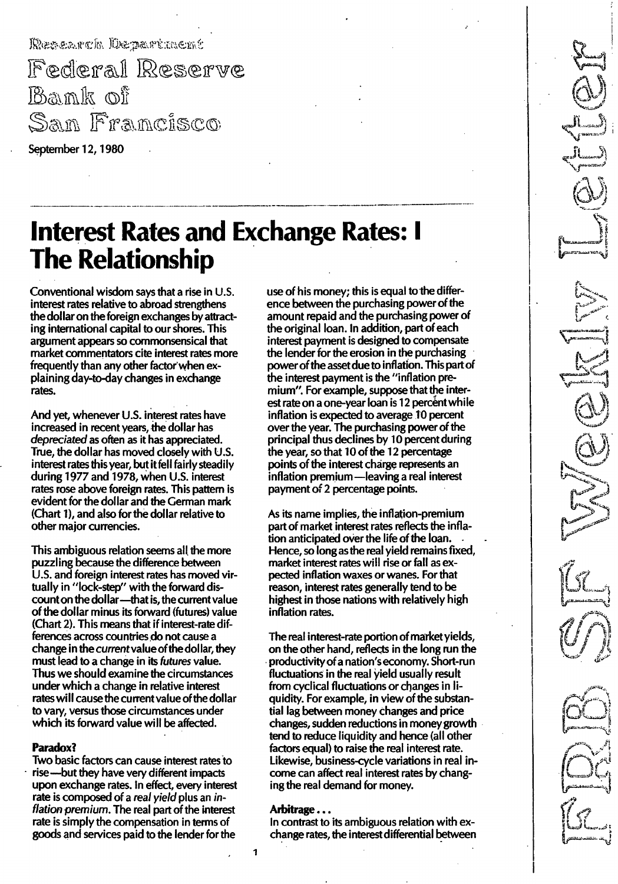Research Department

Federal Reserve Bank of San Francisco

September 12, 1980

# **Interest Rates and Exchange Rates: I** The Relationship

Conventional wisdom says that a rise in U.S. interest rates relative to abroad strengthens the dollar on the foreign exchanges by attracting international capital to our shores. This argument appears so commonsensical that market commentators cite interest rates more frequently than any other factor' when explaining day-to-day changes in exchange rates.

And yet, whenever U.S. interest rates have increased in recent years, the dollar has depreciated as often as it has appreciated. True, the dollar has moved closely with U.S. interest rates this year, but it fell fairly steadily during 1977 and 1978, when U.S. interest rates rose above foreign rates. This pattern is evident for the dollar and the German mark (Chart 1), and also for the dollar relative to other major currencies.

This ambiguous relation seems all the more puzzling because the difference between U.S. and foreign interest rates has moved virtually in "lock-step" with the forward discount on the dollar --- that is, the current value of the dollar minus its forward (futures) value (Chart 2). This means that if interest-rate differences across countries do not cause a change in the current value of the dollar, they must lead to a change in its futures value. Thus we should examine the circumstances under which a change in relative interest rates will cause the current value of the dollar to vary, versus those circumstances under which its forward value will be affected.

## Paradox?

Two basic factors can cause interest rates to rise-but they have very different impacts upon exchange rates. In effect, every interest rate is composed of a real yield plus an inflation premium. The real part of the interest rate is simply the compensation in terms of goods and services paid to the lender for the

use of his money; this is equal to the difference between the purchasing power of the amount repaid and the purchasing power of the original loan. In addition, part of each interest payment is designed to compensate the lender for the erosion in the purchasing power of the asset due to inflation. This part of the interest payment is the "inflation premium". For example, suppose that the interest rate on a one-year loan is 12 percent while inflation is expected to average 10 percent over the year. The purchasing power of the principal thus declines by 10 percent during the year, so that 10 of the 12 percentage points of the interest charge represents an inflation premium -leaving a real interest payment of 2 percentage points.

As its name implies, the inflation-premium part of market interest rates reflects the inflation anticipated over the life of the loan. Hence, so long as the real yield remains fixed, market interest rates will rise or fall as expected inflation waxes or wanes. For that reason, interest rates generally tend to be highest in those nations with relatively high inflation rates.

The real interest-rate portion of market yields, on the other hand, reflects in the long run the productivity of a nation's economy. Short-run fluctuations in the real yield usually result from cyclical fluctuations or changes in liquidity. For example, in view of the substantial lag between money changes and price changes, sudden reductions in money growth tend to reduce liquidity and hence (all other factors equal) to raise the real interest rate. Likewise, business-cycle variations in real income can affect real interest rates by changing the real demand for money.

### Arbitrage ...

In contrast to its ambiguous relation with exchange rates, the interest differential

 $\mathbf{1}$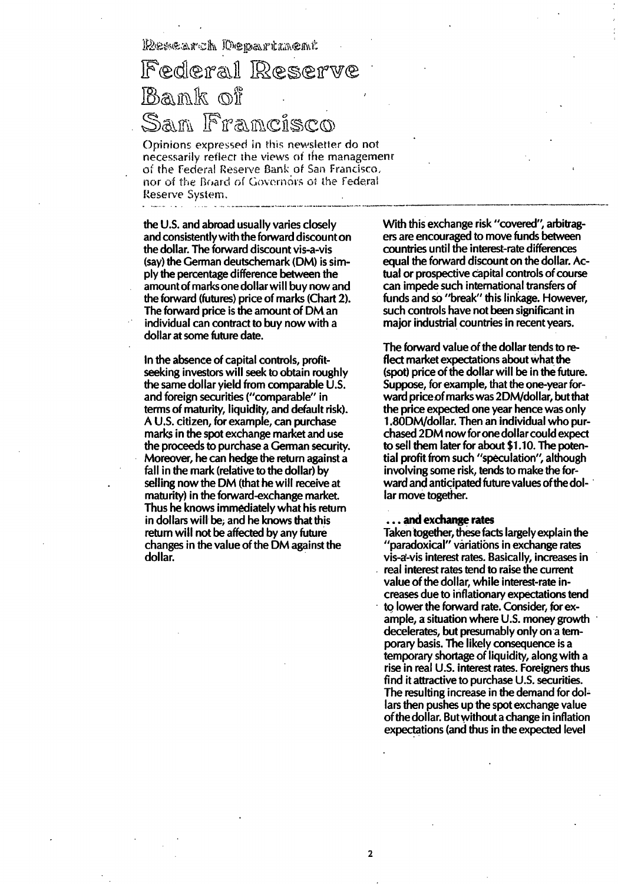Research Department

## Federal Reserve Bank of San Francisco

Opinions expressed in this newsletter do not necessarily reflect the views of the management of the Federal Reserve Bank of San Francisco. nor of the Board of Governors of the Federal Reserve System.

the U.S. and abroad usually varies closely and consistently with the forward discount on the dollar. The forward discount vis-a-vis (say) the German deutschemark (OM) is simply the percentage difference between the amount of marks one dollar will buy now and the forward (futures) price of marks (Chart 2). The forward price is the amount of OM an individual can contract to buy now with a dollar at some future date.

In the absence of capital controls, profitseeking investors will seek to obtain roughly the same dollar yield from comparable U.S. and foreign securities ("comparable" in terms of maturity, liquidity, and default risk). A U.S. citizen, for example, can purchase marks in the spot exchange market and use the proceeds to purchase a German security. Moreover, he can hedge the return against a fall in the mark (relative to the dollar) by selling now the OM (that he will receive at maturity) in the forward-exchange market. Thus he knows immediately what his return in dollars will be; and he knows that this return will not be affected by any future changes in the value of the OM against the dollar.

With this exchange risk "covered", arbitragers are encouraged to move funds between countries until the interest-rate differences equal the forward discount on the dollar. Actual or prospective capital controls of course can impede such international transfers of funds and so "break" this linkage. However, such controls have not been significant in major industrial countries in recent years.

The forward value of the dollar tends to reflect market expectations about what the (spot) price of the dollar will be in the future. Suppose, for example, that the one-year forward price of marks was 2DM/dollar, but that the price expected one year hence was only 1 .800M/dollar. Then an individual who purchased 2DM now for one dollar could expect to sell them later for about \$1.10. The potential profit from such "speculation", although involving some risk, tends to make the forward and anticipated future values of the dollar move together.

#### ... and exchange rates

Taken together, these facts largely explain the "paradoxical" variations in exchange rates vis-a-vis interest rates. Basically, increases in real interest rates tend to raise the current value of the dollar, while interest-rate increases due to inflationary expectations tend to lower the forward rate. Consider, for example, a situation where U.S. money growth decelerates, but presumably only on a temporary basis. The likely consequence is a temporary shortage of liquidity, along with a rise in real U.S. interest rates. Foreigners thus find it attractive to purchase U.S. securities. The resulting increase in the demand for dollars then pushes up the spot exchange value ofthe dollar. But without a change in inflation expectations (and thus in the expected level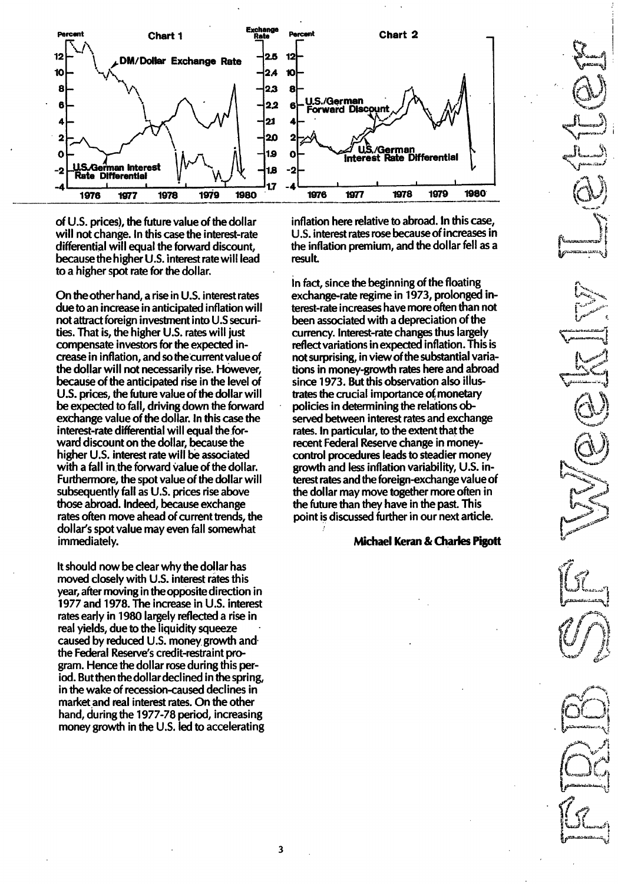

of U.S. prices), the future value of the dollar will not change. In this case the interest-rate differential will equal the forward discount, because the higher U.S. interest rate will lead to a higher spot rate for the dollar.

On the other hand, a rise in U.S. interest rates due to an increase in anticipated inflation will not attract foreign investment into U.S securities. That is, the higher  $U.S.$  rates will just compensate investors for the expected increase in inflation, and so thecurrentvalue of the dollar will not necessarily rise. However, because of the anticipated rise in the level of U.S. prices, the future value of the dollar will be expected to fall, driving down the forward exchange value of the dollar. In this case the interest-rate differential will equal the forward discount on the dollar, because the higher U.s. interest rate will be associated with a fall in the forward value of the dollar. Furthermore, the spot value of the dollar will subsequently fall as U.S. prices rise above those abroad. Indeed, because exchange rates often move ahead of current trends, the dollar's spot value may even fall somewhat immediately.

It should now be clear why the dollar has moved closely with U.S. interest rates this year, after moving in the opposite direction in 1977and 1978.The increase in U.s. interest rates early in 1980 largely reflected a rise in real yields, due to the liquidity squeeze caused by reduced U.S. money growth and the Federal Reserve's credit-restraint program. Hence the dollar rose during this period. But then the dollar declined in the spring, in the wake of recession-caused declines in market and real interest rates. On the other hand, during the 1977-78 period, increasing money growth in the U.S. led to accelerating inflation here relative to abroad. In this case, U.s. interest rates rose because of increases in the inflation premium, and the dollar fell as a result.

In fact, since the beginning of the floating exchange-rate regime in 1973, prolonged interest-rate increases have more often than not been associated with a depreciation of the currency. Interest-rate changes thus largely reflect variations in expected inflation. This is not surprising, in view of the substantial variations in money-growth rates here and abroad since 1973.But this observation also illustrates the crucial importance of monetary policies in determining the relations observed between interest rates and exchange rates. In particular, to the extent that the recent Federal Reserve change in moneycontrol procedures leads to steadier money growth and less inflation variability, U. S. interest rates and the foreign-exchange value of the dollar may move together more often in the future than they have in the past. This point is discussed further in our next article.

### Michael Keran& Charles Pigott